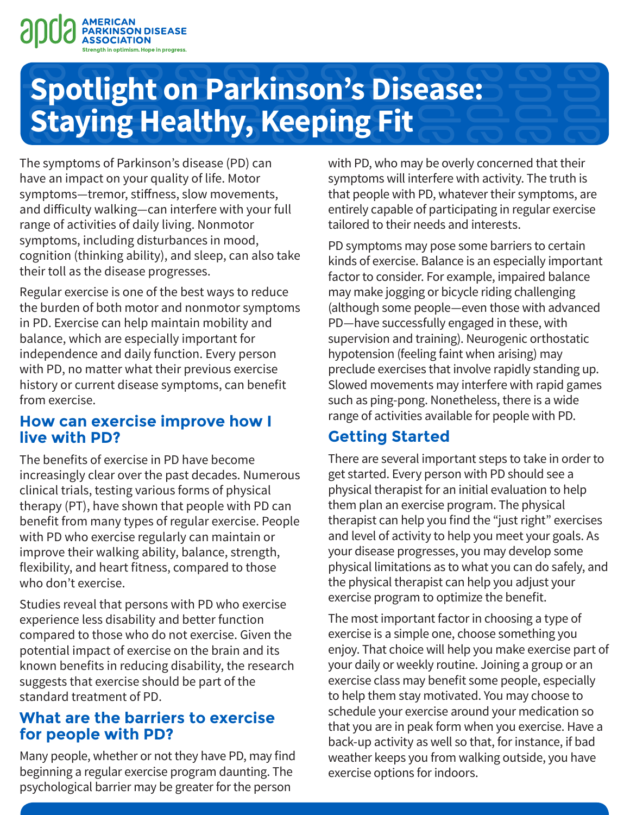

# **Spotlight on Parkinson's Disease: Staying Healthy, Keeping Fit**

The symptoms of Parkinson's disease (PD) can have an impact on your quality of life. Motor symptoms—tremor, stiffness, slow movements, and difficulty walking—can interfere with your full range of activities of daily living. Nonmotor symptoms, including disturbances in mood, cognition (thinking ability), and sleep, can also take their toll as the disease progresses.

Regular exercise is one of the best ways to reduce the burden of both motor and nonmotor symptoms in PD. Exercise can help maintain mobility and balance, which are especially important for independence and daily function. Every person with PD, no matter what their previous exercise history or current disease symptoms, can benefit from exercise.

#### **How can exercise improve how I live with PD?**

The benefits of exercise in PD have become increasingly clear over the past decades. Numerous clinical trials, testing various forms of physical therapy (PT), have shown that people with PD can benefit from many types of regular exercise. People with PD who exercise regularly can maintain or improve their walking ability, balance, strength, flexibility, and heart fitness, compared to those who don't exercise.

Studies reveal that persons with PD who exercise experience less disability and better function compared to those who do not exercise. Given the potential impact of exercise on the brain and its known benefits in reducing disability, the research suggests that exercise should be part of the standard treatment of PD.

#### **What are the barriers to exercise for people with PD?**

Many people, whether or not they have PD, may find beginning a regular exercise program daunting. The psychological barrier may be greater for the person

with PD, who may be overly concerned that their symptoms will interfere with activity. The truth is that people with PD, whatever their symptoms, are entirely capable of participating in regular exercise tailored to their needs and interests.

PD symptoms may pose some barriers to certain kinds of exercise. Balance is an especially important factor to consider. For example, impaired balance may make jogging or bicycle riding challenging (although some people—even those with advanced PD—have successfully engaged in these, with supervision and training). Neurogenic orthostatic hypotension (feeling faint when arising) may preclude exercises that involve rapidly standing up. Slowed movements may interfere with rapid games such as ping-pong. Nonetheless, there is a wide range of activities available for people with PD.

## **Getting Started**

There are several important steps to take in order to get started. Every person with PD should see a physical therapist for an initial evaluation to help them plan an exercise program. The physical therapist can help you find the "just right" exercises and level of activity to help you meet your goals. As your disease progresses, you may develop some physical limitations as to what you can do safely, and the physical therapist can help you adjust your exercise program to optimize the benefit.

The most important factor in choosing a type of exercise is a simple one, choose something you enjoy. That choice will help you make exercise part of your daily or weekly routine. Joining a group or an exercise class may benefit some people, especially to help them stay motivated. You may choose to schedule your exercise around your medication so that you are in peak form when you exercise. Have a back-up activity as well so that, for instance, if bad weather keeps you from walking outside, you have exercise options for indoors.